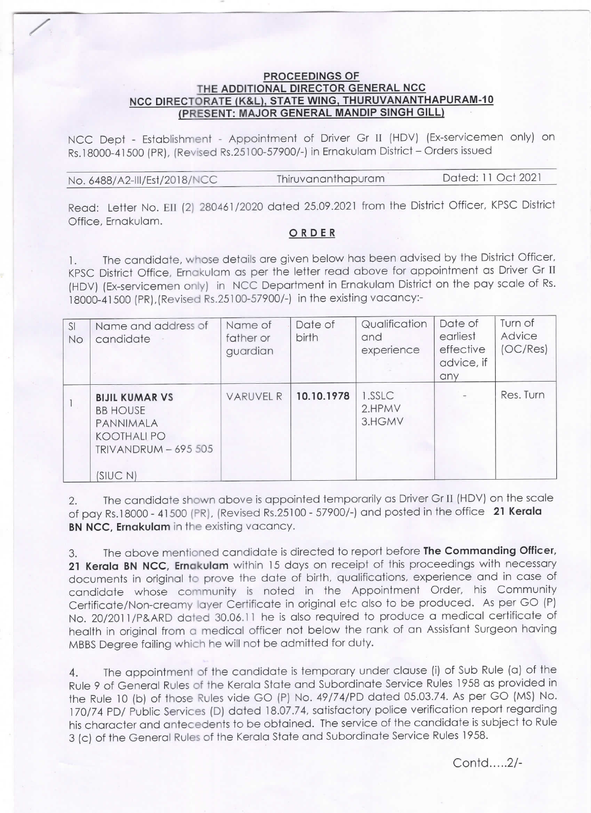## **PROCEEDINGS OF<br>THE ADDITIONAL DIRECTOR GENERAL NCC** NCC DIRECTORATE (K&L), STATE WING, THURUVANANTHAPURAM-10<br>(PRESENT: MAJOR GENERAL MANDIP SINGH GILL)

NCC Dept - Establishment - Appointment of Driver Gr 11 (HDV) (Ex-servicemen only) on Rs.18000-41500 (PR), (Revised Rs.25100-57900/-) in Ernakulam District - Orders issued

| No. 6488/A2-III/Est/2018/NCC | Thiruvananthapuram | Dated: 11 Oct 2021 |
|------------------------------|--------------------|--------------------|
|                              |                    |                    |

Read: Letter No. EII (2) 280461/2020 dated 25.09.2021 from the District Officer, KPSC District Office, Ernakulam.

## ORDER

1. The candidate, whose details are given below has been advised by the District officer, KPSC District Office, Ernakulam as per the letter read above for appointment as Driver Gr 11 (HDV) (Ex-servicemen only) in NCC Department in Ernakulam District on the pay scale of Rs. 18000-41500 (PR),(Revised Rs.25100-57900/-) in the existing vacancy:-

| SI<br>No | Name and address of<br>candidate                                                                                 | Name of<br>father or<br>guardian | Date of<br>birth | Qualification<br>and<br>experience | Date of<br>earliest<br>effective<br>advice, if<br>any | Turn of<br>Advice<br>(OC/Res) |
|----------|------------------------------------------------------------------------------------------------------------------|----------------------------------|------------------|------------------------------------|-------------------------------------------------------|-------------------------------|
|          | <b>BIJIL KUMAR VS</b><br><b>BB HOUSE</b><br>PANNIMALA<br><b>KOOTHALI PO</b><br>$TRIVANDRUM - 695505$<br>(SIUC N) | <b>VARUVEL R</b>                 | 10.10.1978       | 1.SSLC<br>2.HPMV<br>3.HGMV         |                                                       | Res. Turn                     |

2. The candidate shown above is appointed temporarily as Driver Gr II (HDV) on the scale of pay Rs.18000 - 41500 (PR), (Revised Rs.25100 - 57900/-) and posted in the office 21 Kerala BN NCC, Ernakulam in the existing vacancy.

3. The above mentioned candidate is directed to report before The Commanding Officer, 21 Kerala BN NCC, Ernakulam within 15 days on receipt of this proceedings with necessary documents in original to prove the date of birth, qualifications, experience and in case of candidate whose community is noted in the Appointment Order, his Community Certificate/Non-creamy layer Certificate in original etc also to be produced. As per GO (P) No. 20/2011/P&ARD dated 30.06.11 he is also required to produce a medical certificate of health in original from a medical officer not below the rank of an Assistant Surgeon having MBBS Degree failing which he will not be admitted for duty.

4. The appointment of the candidate is temporary under clause (i) of sub Rule (a) of the Rule 9 of General Rules of the Kerala State and Subordinate Service Rules 1958 as provided in the Rule 10 (b) of those Rules vide GO (P) No. 49/74/PD dated 05.03.74. As per GO (MS) No. 170/74 PD/ Public Services (D) dated 18.07.74, satisfactory police verification report regarding his character and antecedents to be obtained. The service of the candidate is subject to Rule 3 (c) of the General Rules of the Kerala State and Subordinate Service Rules 1958.